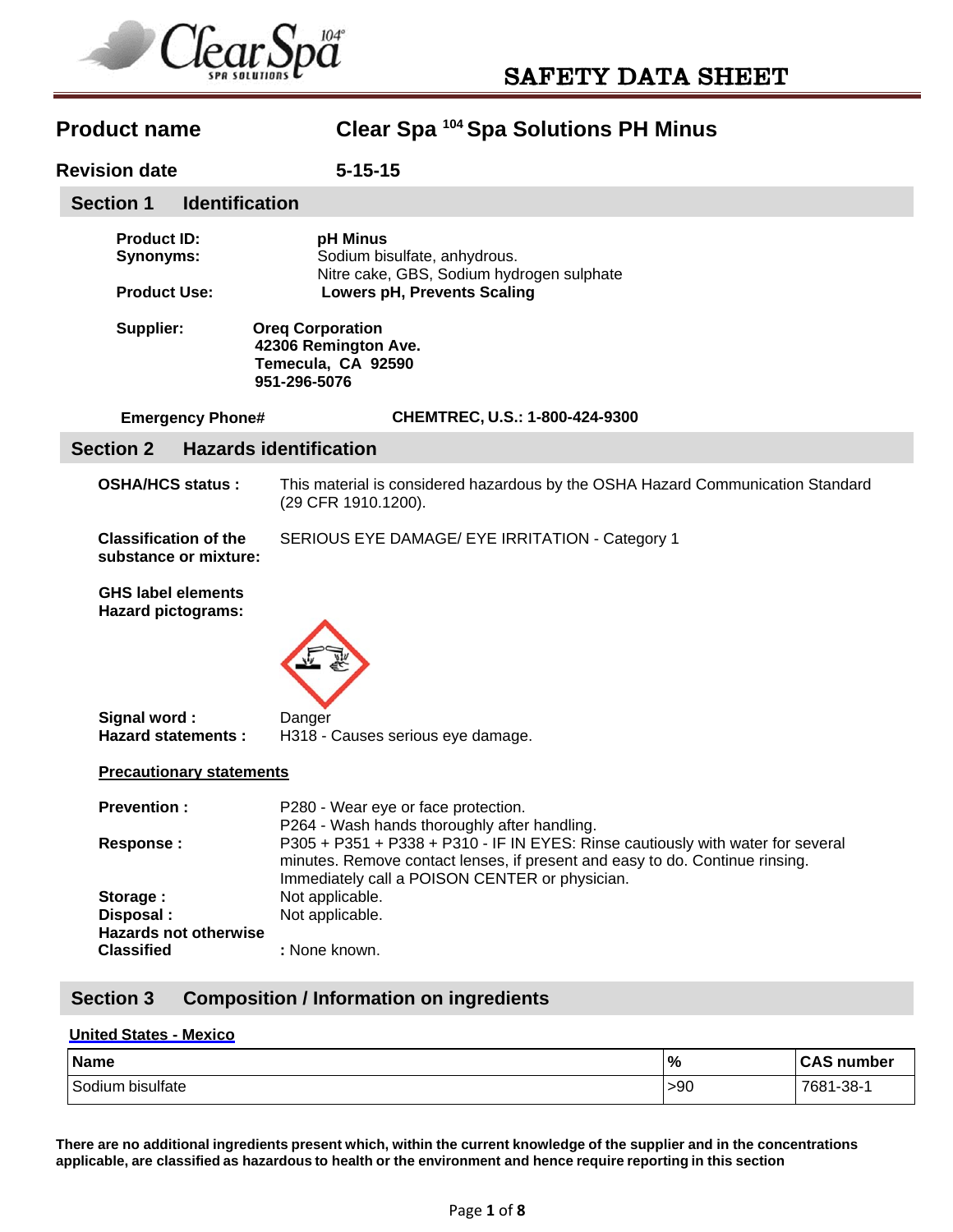

# **Revision date 5-15-15 Product ID: pH Minus Synonyms:** Sodium bisulfate, anhydrous. Nitre cake, GBS, Sodium hydrogen sulphate  **Product Use: Lowers pH, Prevents Scaling Supplier: Oreq Corporation 42306 Remington Ave. Temecula, CA 92590 951-296-5076 Emergency Phone# CHEMTREC, U.S.: 1-800-424-9300 OSHA/HCS status :** This material is considered hazardous by the OSHA Hazard Communication Standard (29 CFR 1910.1200). **Classification of the** SERIOUS EYE DAMAGE/ EYE IRRITATION - Category 1 **substance or mixture: GHS label elements Hazard pictograms: Signal word :** Danger **Hazard statements :** H318 - Causes serious eye damage. **Precautionary statements Prevention :** P280 - Wear eye or face protection. P264 - Wash hands thoroughly after handling. **Response :** P305 + P351 + P338 + P310 - IF IN EYES: Rinse cautiously with water for several minutes. Remove contact lenses, if present and easy to do. Continue rinsing. Immediately call a POISON CENTER or physician. **Storage :** Not applicable. **Disposal :** Not applicable. **Hazards not otherwise Classified :** None known. **Section 1 Identification Section 2 Hazards identification Section 3 Composition / Information on ingredients**

**Product name Clear Spa 104 Spa Solutions PH Minus** 

### **United States - Mexico**

| <b>Name</b>         | $\frac{9}{6}$ | <b>CAS number</b>    |
|---------------------|---------------|----------------------|
| Sodium<br>bisulfate | >90           | $1 - 38 - 1$<br>7681 |

**There are no additional ingredients present which, within the current knowledge of the supplier and in the concentrations applicable, are classified as hazardous to health or the environment and hence require reporting in this section**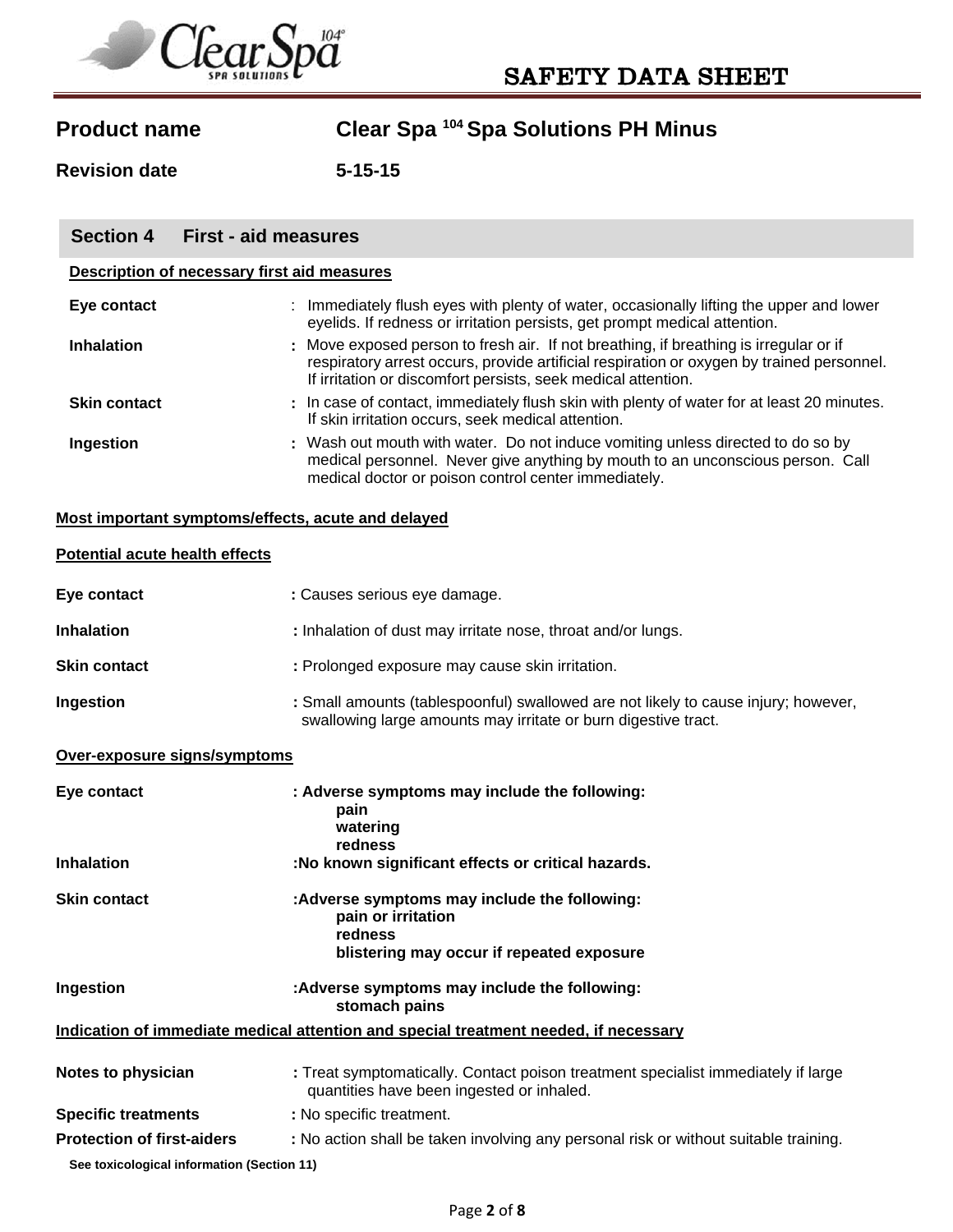

**Revision date 5-15-15** 

| <b>Section 4</b>                            | <b>First - aid measures</b>                                                                                                                                                                                                                         |  |
|---------------------------------------------|-----------------------------------------------------------------------------------------------------------------------------------------------------------------------------------------------------------------------------------------------------|--|
| Description of necessary first aid measures |                                                                                                                                                                                                                                                     |  |
| Eye contact                                 | : Immediately flush eyes with plenty of water, occasionally lifting the upper and lower<br>eyelids. If redness or irritation persists, get prompt medical attention.                                                                                |  |
| <b>Inhalation</b>                           | : Move exposed person to fresh air. If not breathing, if breathing is irregular or if<br>respiratory arrest occurs, provide artificial respiration or oxygen by trained personnel.<br>If irritation or discomfort persists, seek medical attention. |  |
| <b>Skin contact</b>                         | : In case of contact, immediately flush skin with plenty of water for at least 20 minutes.<br>If skin irritation occurs, seek medical attention.                                                                                                    |  |
| Ingestion                                   | : Wash out mouth with water. Do not induce vomiting unless directed to do so by<br>medical personnel. Never give anything by mouth to an unconscious person. Call<br>medical doctor or poison control center immediately.                           |  |
|                                             | Most important symptoms/effects, acute and delayed                                                                                                                                                                                                  |  |

### **Potential acute health effects**

| Eye contact         | : Causes serious eye damage.                                                                                                                         |
|---------------------|------------------------------------------------------------------------------------------------------------------------------------------------------|
| <b>Inhalation</b>   | : Inhalation of dust may irritate nose, throat and/or lungs.                                                                                         |
| <b>Skin contact</b> | : Prolonged exposure may cause skin irritation.                                                                                                      |
| Ingestion           | : Small amounts (tablespoonful) swallowed are not likely to cause injury; however,<br>swallowing large amounts may irritate or burn digestive tract. |

### **Over-exposure signs/symptoms**

| Eye contact                                | : Adverse symptoms may include the following:<br>pain<br>watering<br>redness                                                   |
|--------------------------------------------|--------------------------------------------------------------------------------------------------------------------------------|
| <b>Inhalation</b>                          | :No known significant effects or critical hazards.                                                                             |
| <b>Skin contact</b>                        | :Adverse symptoms may include the following:<br>pain or irritation<br>redness<br>blistering may occur if repeated exposure     |
| Ingestion                                  | :Adverse symptoms may include the following:<br>stomach pains                                                                  |
|                                            | Indication of immediate medical attention and special treatment needed, if necessary                                           |
| Notes to physician                         | : Treat symptomatically. Contact poison treatment specialist immediately if large<br>quantities have been ingested or inhaled. |
| <b>Specific treatments</b>                 | : No specific treatment.                                                                                                       |
| <b>Protection of first-aiders</b>          | : No action shall be taken involving any personal risk or without suitable training.                                           |
| See toxicological information (Section 11) |                                                                                                                                |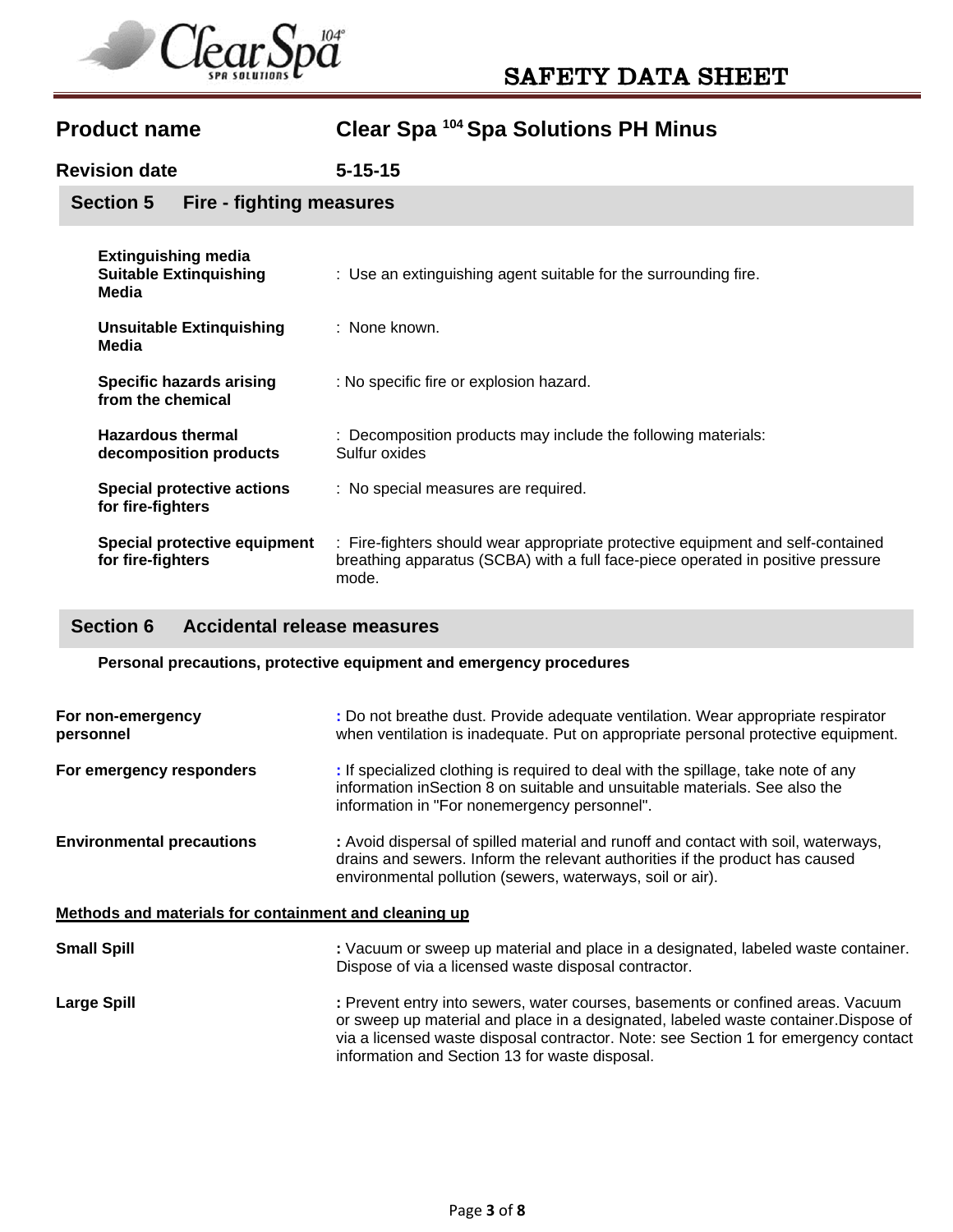

**Revision date 5-15-15** 

**Section 5 Fire - fighting measures** 

| <b>Extinguishing media</b><br><b>Suitable Extinguishing</b><br>Media | : Use an extinguishing agent suitable for the surrounding fire.                                                                                                             |
|----------------------------------------------------------------------|-----------------------------------------------------------------------------------------------------------------------------------------------------------------------------|
| <b>Unsuitable Extinguishing</b><br>Media                             | : None known.                                                                                                                                                               |
| <b>Specific hazards arising</b><br>from the chemical                 | : No specific fire or explosion hazard.                                                                                                                                     |
| <b>Hazardous thermal</b><br>decomposition products                   | : Decomposition products may include the following materials:<br>Sulfur oxides                                                                                              |
| <b>Special protective actions</b><br>for fire-fighters               | : No special measures are required.                                                                                                                                         |
| Special protective equipment<br>for fire-fighters                    | : Fire-fighters should wear appropriate protective equipment and self-contained<br>breathing apparatus (SCBA) with a full face-piece operated in positive pressure<br>mode. |

# **Section 6 Accidental release measures**

**Personal precautions, protective equipment and emergency procedures** 

| For non-emergency<br>personnel                        | : Do not breathe dust. Provide adequate ventilation. Wear appropriate respirator<br>when ventilation is inadequate. Put on appropriate personal protective equipment.                                                                                                                                           |  |  |
|-------------------------------------------------------|-----------------------------------------------------------------------------------------------------------------------------------------------------------------------------------------------------------------------------------------------------------------------------------------------------------------|--|--|
| For emergency responders                              | : If specialized clothing is required to deal with the spillage, take note of any<br>information in Section 8 on suitable and unsuitable materials. See also the<br>information in "For nonemergency personnel".                                                                                                |  |  |
| <b>Environmental precautions</b>                      | : Avoid dispersal of spilled material and runoff and contact with soil, waterways,<br>drains and sewers. Inform the relevant authorities if the product has caused<br>environmental pollution (sewers, waterways, soil or air).                                                                                 |  |  |
| Methods and materials for containment and cleaning up |                                                                                                                                                                                                                                                                                                                 |  |  |
| <b>Small Spill</b>                                    | : Vacuum or sweep up material and place in a designated, labeled waste container.<br>Dispose of via a licensed waste disposal contractor.                                                                                                                                                                       |  |  |
| <b>Large Spill</b>                                    | : Prevent entry into sewers, water courses, basements or confined areas. Vacuum<br>or sweep up material and place in a designated, labeled waste container. Dispose of<br>via a licensed waste disposal contractor. Note: see Section 1 for emergency contact<br>information and Section 13 for waste disposal. |  |  |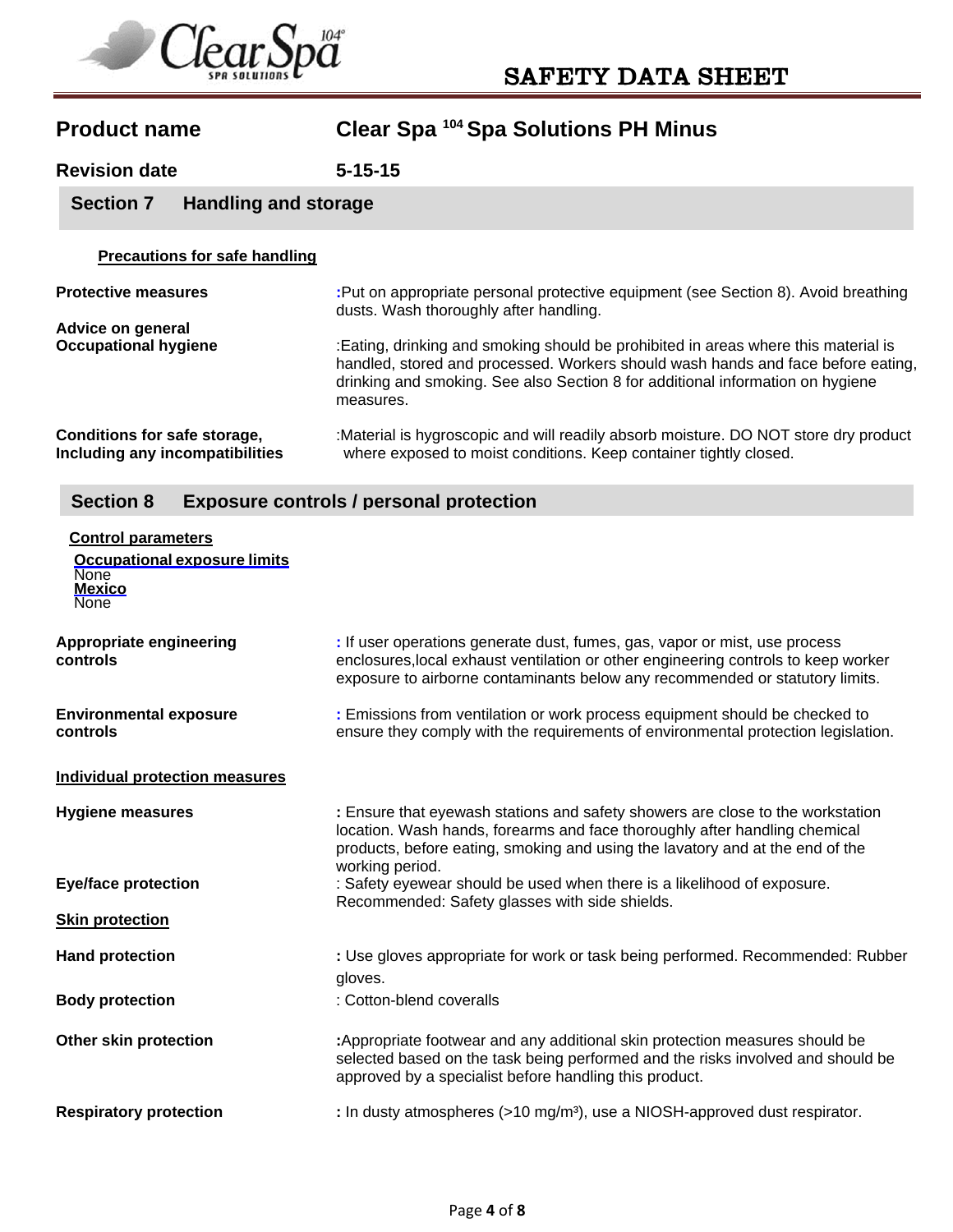

# **Product name Clear Spa 104 Spa Solutions PH Minus Revision date 5-15-15 Precautions for safe handling Protective measures :**Put on appropriate personal protective equipment (see Section 8). Avoid breathing dusts. Wash thoroughly after handling. **Advice on general Occupational hygiene** :Eating, drinking and smoking should be prohibited in areas where this material is handled, stored and processed. Workers should wash hands and face before eating, drinking and smoking. See also Section 8 for additional information on hygiene measures. **Conditions for safe storage,** :Material is hygroscopic and will readily absorb moisture. DO NOT store dry product Including any incompatibilities where exposed to moist conditions. Keep container tightly closed. where exposed to moist conditions. Keep container tightly closed. **Control parameters Section 7 Handling and storage Section 8 Exposure controls / personal protection**

| <b>Occupational exposure limits</b><br><b>None</b><br><b>Mexico</b><br><b>None</b> |                                                                                                                                                                                                                                                                  |
|------------------------------------------------------------------------------------|------------------------------------------------------------------------------------------------------------------------------------------------------------------------------------------------------------------------------------------------------------------|
| <b>Appropriate engineering</b><br>controls                                         | : If user operations generate dust, fumes, gas, vapor or mist, use process<br>enclosures, local exhaust ventilation or other engineering controls to keep worker<br>exposure to airborne contaminants below any recommended or statutory limits.                 |
| <b>Environmental exposure</b><br>controls                                          | : Emissions from ventilation or work process equipment should be checked to<br>ensure they comply with the requirements of environmental protection legislation.                                                                                                 |
| <b>Individual protection measures</b>                                              |                                                                                                                                                                                                                                                                  |
| <b>Hygiene measures</b>                                                            | : Ensure that eyewash stations and safety showers are close to the workstation<br>location. Wash hands, forearms and face thoroughly after handling chemical<br>products, before eating, smoking and using the lavatory and at the end of the<br>working period. |
| <b>Eye/face protection</b>                                                         | : Safety eyewear should be used when there is a likelihood of exposure.                                                                                                                                                                                          |
| <b>Skin protection</b>                                                             | Recommended: Safety glasses with side shields.                                                                                                                                                                                                                   |
| <b>Hand protection</b>                                                             | : Use gloves appropriate for work or task being performed. Recommended: Rubber<br>gloves.                                                                                                                                                                        |
| <b>Body protection</b>                                                             | : Cotton-blend coveralls                                                                                                                                                                                                                                         |
| Other skin protection                                                              | :Appropriate footwear and any additional skin protection measures should be<br>selected based on the task being performed and the risks involved and should be<br>approved by a specialist before handling this product.                                         |
| <b>Respiratory protection</b>                                                      | : In dusty atmospheres $(>10 \text{ mg/m}^3)$ , use a NIOSH-approved dust respirator.                                                                                                                                                                            |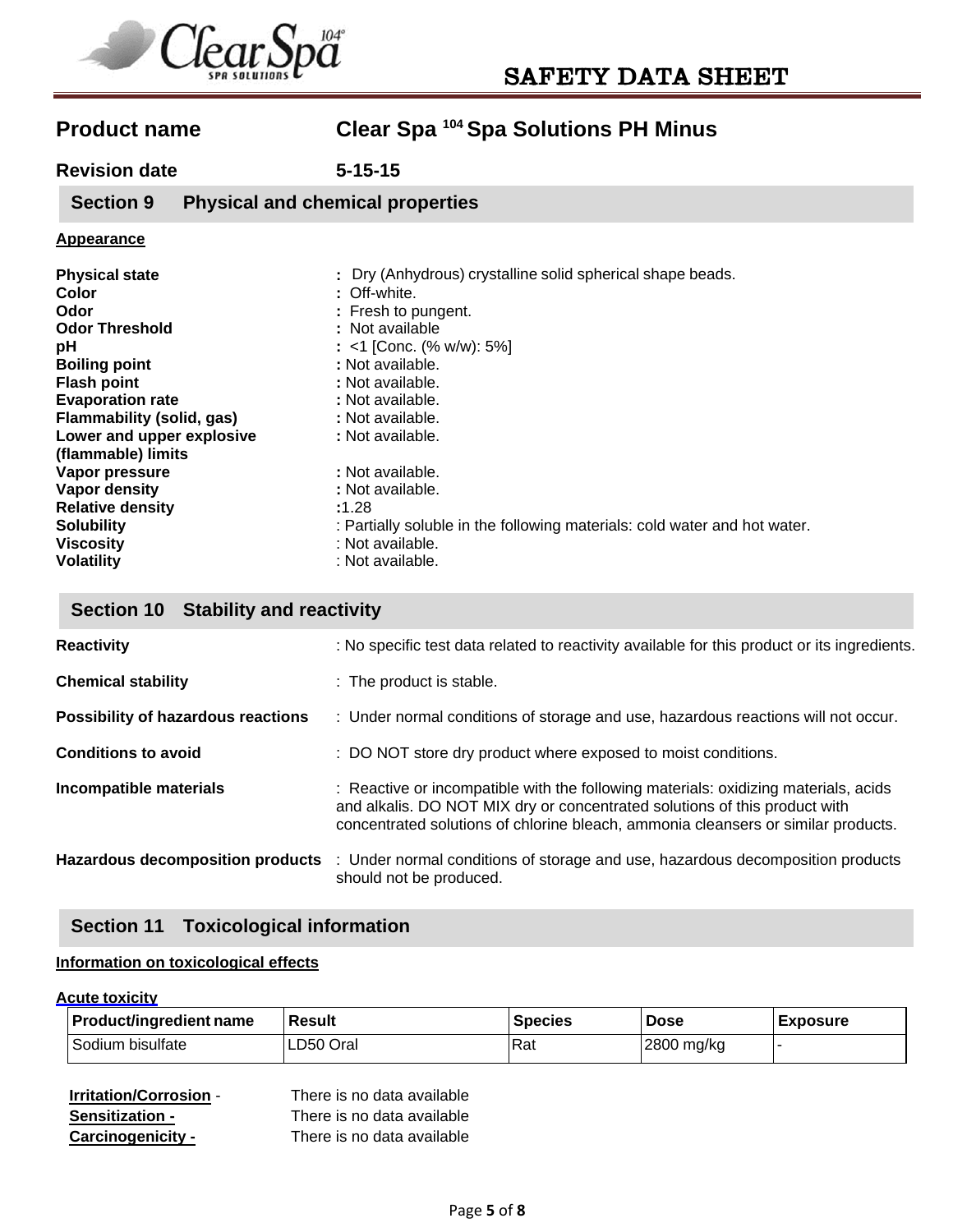

**Revision date 5-15-15** 

**Section 9 Physical and chemical properties** 

### **Appearance**

| <b>Physical state</b><br>Color<br>Odor<br><b>Odor Threshold</b><br>рH<br><b>Boiling point</b><br><b>Flash point</b><br><b>Evaporation rate</b><br>Flammability (solid, gas)<br>Lower and upper explosive<br>(flammable) limits | : Dry (Anhydrous) crystalline solid spherical shape beads.<br>: Off-white.<br>: Fresh to pungent.<br>: Not available<br>: <1 [Conc. (% w/w): 5%]<br>: Not available.<br>: Not available.<br>: Not available.<br>: Not available.<br>: Not available. |
|--------------------------------------------------------------------------------------------------------------------------------------------------------------------------------------------------------------------------------|------------------------------------------------------------------------------------------------------------------------------------------------------------------------------------------------------------------------------------------------------|
| Vapor pressure                                                                                                                                                                                                                 | : Not available.                                                                                                                                                                                                                                     |
| Vapor density                                                                                                                                                                                                                  | : Not available.                                                                                                                                                                                                                                     |
| <b>Relative density</b>                                                                                                                                                                                                        | :1.28                                                                                                                                                                                                                                                |
| <b>Solubility</b>                                                                                                                                                                                                              | : Partially soluble in the following materials: cold water and hot water.                                                                                                                                                                            |
| <b>Viscosity</b>                                                                                                                                                                                                               | : Not available.                                                                                                                                                                                                                                     |
| <b>Volatility</b>                                                                                                                                                                                                              | : Not available.                                                                                                                                                                                                                                     |

## **Section 10 Stability and reactivity**

| <b>Reactivity</b>                       | : No specific test data related to reactivity available for this product or its ingredients.                                                                                                                                                           |
|-----------------------------------------|--------------------------------------------------------------------------------------------------------------------------------------------------------------------------------------------------------------------------------------------------------|
| <b>Chemical stability</b>               | : The product is stable.                                                                                                                                                                                                                               |
| Possibility of hazardous reactions      | : Under normal conditions of storage and use, hazardous reactions will not occur.                                                                                                                                                                      |
| <b>Conditions to avoid</b>              | : DO NOT store dry product where exposed to moist conditions.                                                                                                                                                                                          |
| Incompatible materials                  | : Reactive or incompatible with the following materials: oxidizing materials, acids<br>and alkalis. DO NOT MIX dry or concentrated solutions of this product with<br>concentrated solutions of chlorine bleach, ammonia cleansers or similar products. |
| <b>Hazardous decomposition products</b> | : Under normal conditions of storage and use, hazardous decomposition products<br>should not be produced.                                                                                                                                              |

## **Section 11 Toxicological information**

### **Information on toxicological effects**

### **Acute toxicity**

| <b>Product/ingredient name</b> | <b>Result</b> | <b>Species</b> | <b>Dose</b> | <b>Exposure</b> |
|--------------------------------|---------------|----------------|-------------|-----------------|
| Sodium bisulfate               | LD50 Oral     | ้ Rat          | 2800 mg/kg  |                 |

| <b>Irritation/Corrosion -</b> | There is no data available |
|-------------------------------|----------------------------|
| <b>Sensitization -</b>        | There is no data available |
| Carcinogenicity -             | There is no data available |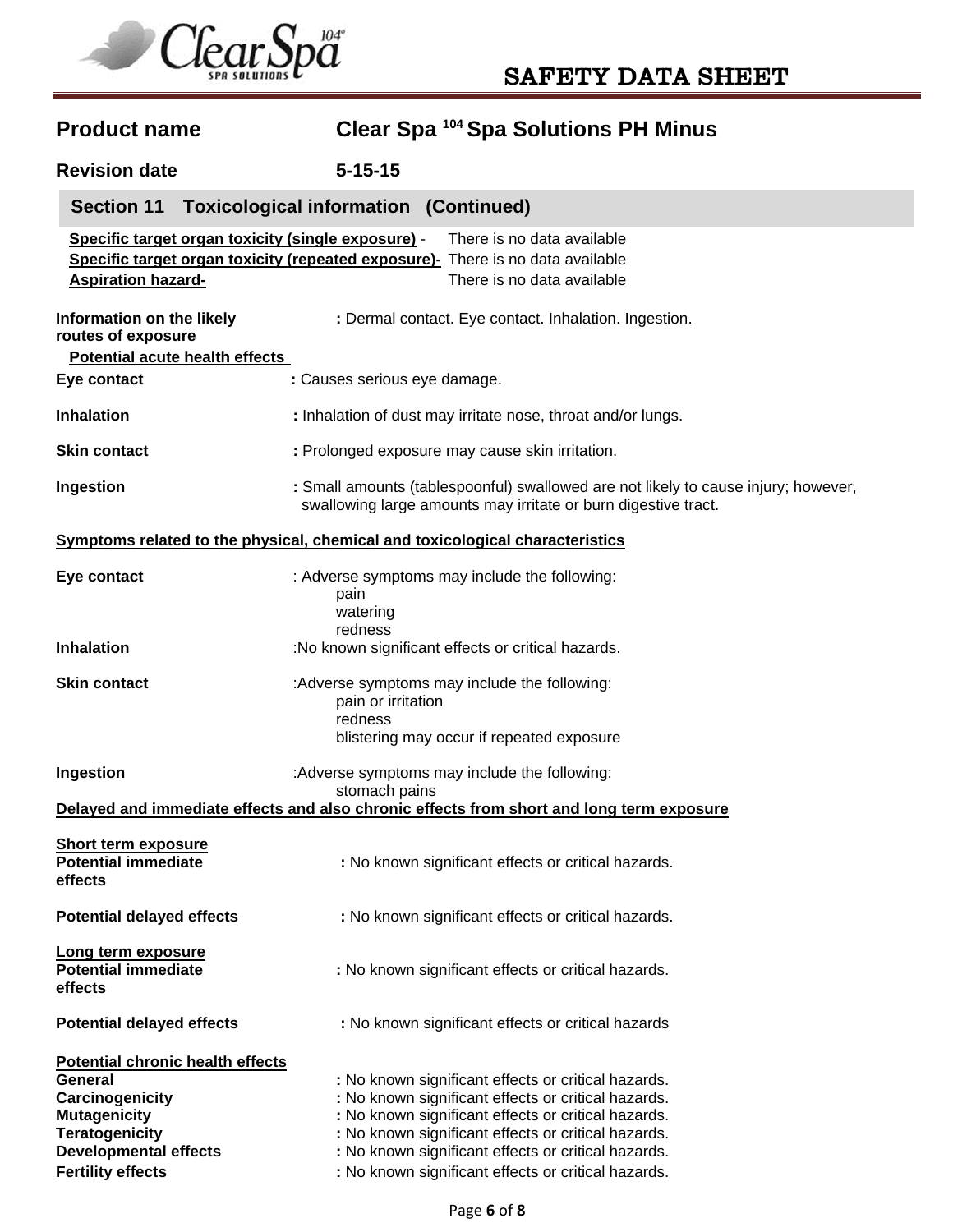

# **Product name Clear Spa 104 Spa Solutions PH Minus Revision date 5-15-15 Specific target organ toxicity (single exposure)** - There is no data available **Specific target organ toxicity (repeated exposure)-** There is no data available **Aspiration hazard-** There is no data available **Information on the likely : Dermal contact. Eye contact. Inhalation. Ingestion. routes of exposure Potential acute health effects Eye contact : Causes serious eye damage. Inhalation : 1nhalation of dust may irritate nose, throat and/or lungs.** Skin contact : Prolonged exposure may cause skin irritation. **Ingestion** : Small amounts (tablespoonful) swallowed are not likely to cause injury; however, swallowing large amounts may irritate or burn digestive tract. **Symptoms related to the physical, chemical and toxicological characteristics Eye contact** : Adverse symptoms may include the following: pain watering redness **Inhalation** :No known significant effects or critical hazards. **Skin contact include the symptoms may include the following:** pain or irritation redness blistering may occur if repeated exposure **Ingestion Example 3**: Adverse symptoms may include the following: stomach pains **Delayed and immediate effects and also chronic effects from short and long term exposure Short term exposure Potential immediate The State of Contract State of State State State Potential hazards. effects Potential delayed effects** : No known significant effects or critical hazards. **Long term exposure Potential immediate : 1998 : No known significant effects or critical hazards. effects Potential delayed effects** : No known significant effects or critical hazards **Potential chronic health effects General Seneral Seneral in the sense of the sense of the sense of the sense of critical hazards. Carcinogenicity Edge is a control of the state of Carcinogenicity in the state of critical hazards. Mutagenicity <b>increases** : No known significant effects or critical hazards. **Teratogenicity :** No known significant effects or critical hazards. **Developmental effects** : No known significant effects or critical hazards. **Fertility effects in the state of the state of the ST** . No known significant effects or critical hazards. **Section 11 Toxicological information (Continued)**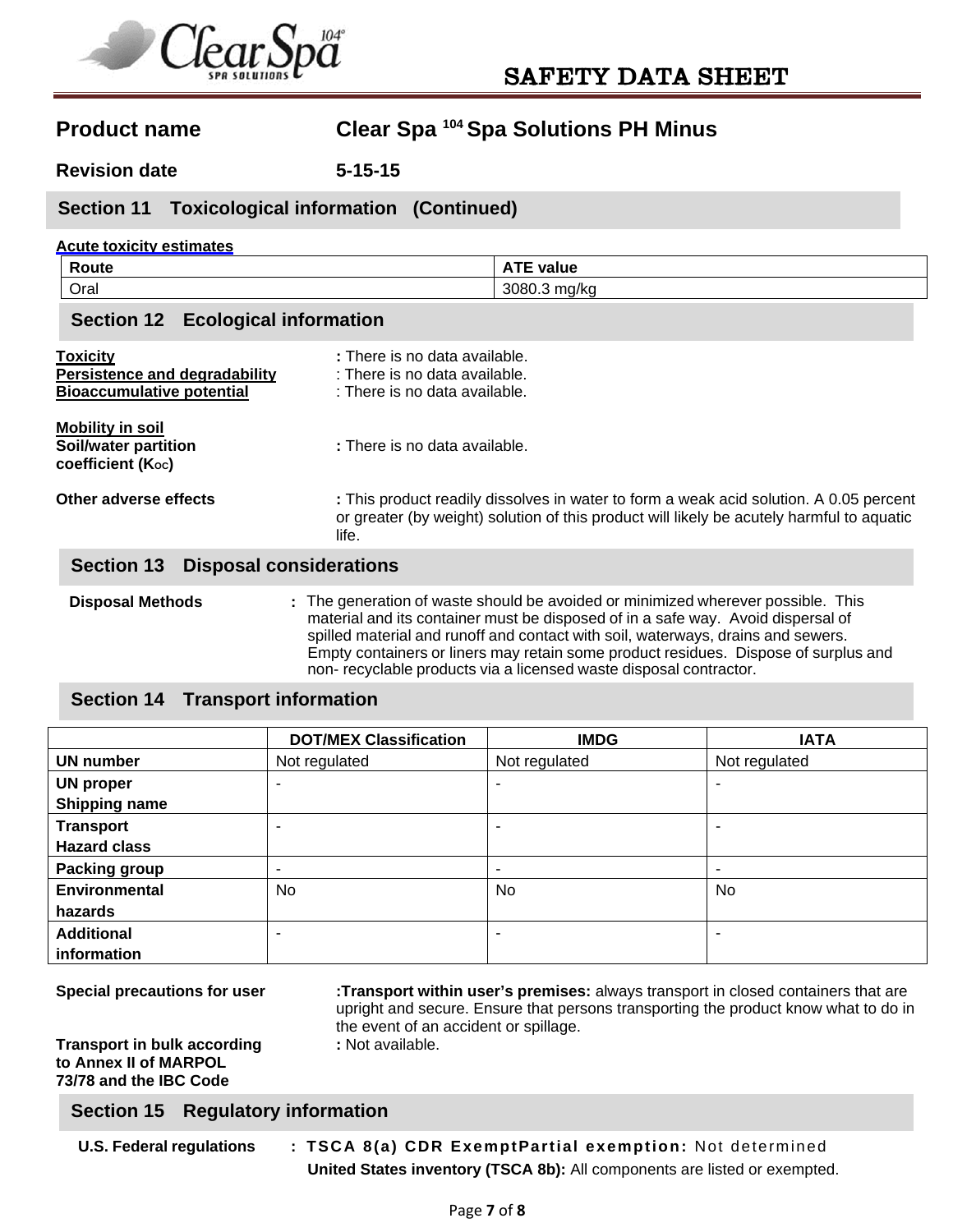

**Revision date 5-15-15** 

### **Section 11 Toxicological information (Continued)**

### **Acute toxicity estimates**

| Poute | value<br>. .           |
|-------|------------------------|
| Oral  | 3080<br>. ma/kr<br>. . |

### **Section 12 Ecological information**

| <b>Toxicity</b><br>Persistence and degradability<br><b>Bioaccumulative potential</b> | : There is no data available.<br>: There is no data available.<br>: There is no data available.                                                                                                                                                                                                                                                                                                                      |
|--------------------------------------------------------------------------------------|----------------------------------------------------------------------------------------------------------------------------------------------------------------------------------------------------------------------------------------------------------------------------------------------------------------------------------------------------------------------------------------------------------------------|
| <b>Mobility in soil</b><br>Soil/water partition<br>coefficient (Koc)                 | : There is no data available.                                                                                                                                                                                                                                                                                                                                                                                        |
| Other adverse effects                                                                | : This product readily dissolves in water to form a weak acid solution. A 0.05 percent<br>or greater (by weight) solution of this product will likely be acutely harmful to aquatic<br>life.                                                                                                                                                                                                                         |
| <b>Section 13</b>                                                                    | <b>Disposal considerations</b>                                                                                                                                                                                                                                                                                                                                                                                       |
| <b>Disposal Methods</b>                                                              | : The generation of waste should be avoided or minimized wherever possible. This<br>material and its container must be disposed of in a safe way. Avoid dispersal of<br>spilled material and runoff and contact with soil, waterways, drains and sewers.<br>Empty containers or liners may retain some product residues. Dispose of surplus and<br>non-recyclable products via a licensed waste disposal contractor. |

### **Section 14 Transport information**

|                      | <b>DOT/MEX Classification</b> | <b>IMDG</b>              | <b>IATA</b>   |  |
|----------------------|-------------------------------|--------------------------|---------------|--|
| <b>UN number</b>     | Not regulated                 | Not regulated            | Not regulated |  |
| <b>UN proper</b>     | ۰<br>$\overline{\phantom{0}}$ |                          |               |  |
| <b>Shipping name</b> |                               |                          |               |  |
| <b>Transport</b>     | ۰                             | $\overline{\phantom{a}}$ |               |  |
| <b>Hazard class</b>  |                               |                          |               |  |
| <b>Packing group</b> | $\overline{\phantom{0}}$      | $\overline{\phantom{a}}$ |               |  |
| <b>Environmental</b> | No                            | No                       | No            |  |
| hazards              |                               |                          |               |  |
| <b>Additional</b>    | ۰                             | $\overline{\phantom{a}}$ |               |  |
| information          |                               |                          |               |  |

**Transport in bulk according to Annex II of MARPOL 73/78 and the IBC Code** 

**Special precautions for user :Transport within user's premises:** always transport in closed containers that are upright and secure. Ensure that persons transporting the product know what to do in the event of an accident or spillage.<br>: Not available.

### **Section 15 Regulatory information**

**U.S. Federal regulations : TSCA 8(a) CDR ExemptPartial exemption:** Not determined **United States inventory (TSCA 8b):** All components are listed or exempted.